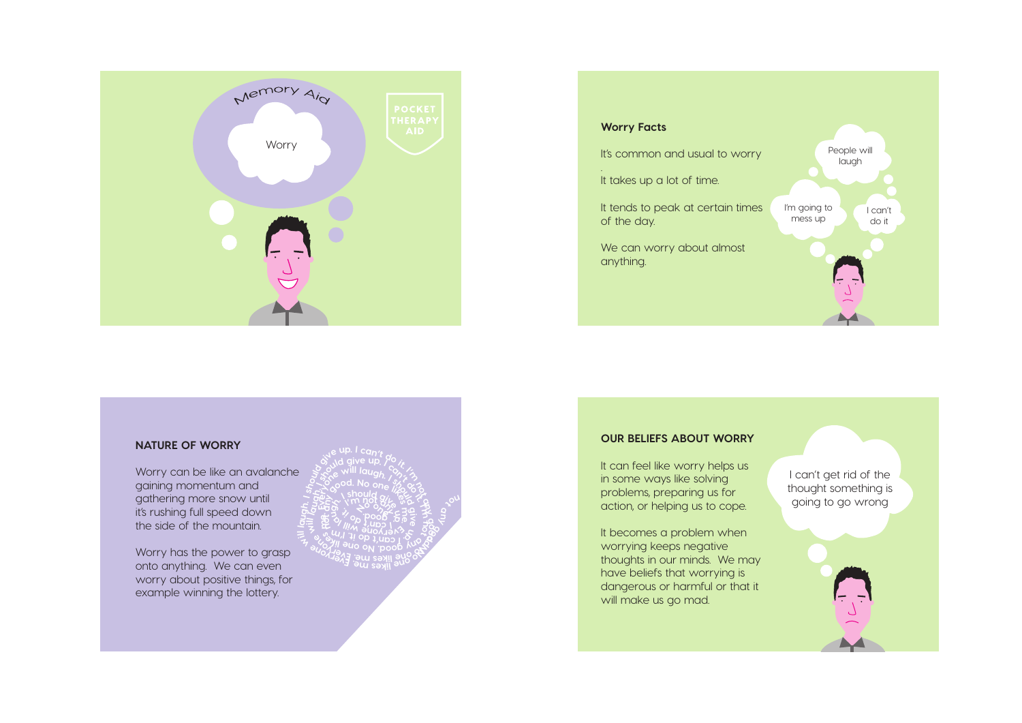



## **NATURE OF WORRY**

Worry can be like an avalanche gaining momentum and gathering more snow until it's rushing full speed down the side of the mountain.

Worry has the power to grasp onto anything. We can even worry about positive things, for example winning the lottery.

**<sup>I</sup> <sup>m</sup>' <sup>o</sup><sup>n</sup> t ny good. <sup>N</sup><sup>o</sup> n<sup>o</sup> <sup>v</sup>E. <sup>e</sup> <sup>m</sup>seki<sup>l</sup> <sup>e</sup> <sup>r</sup> <sup>e</sup> <sup>o</sup><sup>y</sup> <sup>e</sup><sup>n</sup>** sile up. I can't do it<br>so see will laugh, by the<br>see will laugh, by the<br>see sood. No one meet **not any good. B** Avert  $\frac{2}{3}$  is existed. **<sup>o</sup><sup>y</sup> <sup>n</sup><sup>e</sup>** A Sold give up. Yo.x<br>
Sold of Mill laugh. A Sold<br>
Sold of Mill and Sold of The Sold of The Sold of The Sold of The Sold<br>
The Sold of The Sold of The Sold of The Sold of The Sold of The Sold<br>
The Sold of The Sold Sold of Th **<sup>a</sup> yn ekil s m e**<br> **E**C<sub>**ood. No one %/<br>
<b>E**C<br> **E**CC<br> **ECC**<br> **ECC**<br> **ECC**<br> **ECC**<br> **ECC**<br> **ECC**<br> **ECC**<br> **ECC**<br> **ECC**<br> **ECC**<br> **ECC**<br> **ECC**<br> **ECC**<br> **ECC**<br> **ECC**<br> **ECC**<br> **ECC**<br> **ECC**<br> **ECC**</sub> **give**  $\mathscr{E}$ **.t<sup>i</sup> <sup>m</sup>'<sup>I</sup> not any g**<br>**o d**. No one *lip*e<br>So I'm not give be **m**  $\hat{\mathcal{E}}$ **<sup>w</sup>enoyre<sup>v</sup> <sup>l</sup><sup>i</sup> <sup>l</sup> <sup>a</sup><sup>l</sup> u**<br> **i i i b b b i i** *i*<br> **i** *i* **c i c** *i i i i i i i i i i i i i i i i i i i i i i i i i* **t' <sup>n</sup>acI <sup>o</sup>d ti 1***m* **nob a**<br>*b* **c book . doog <sup>o</sup> <sup>o</sup>n<sup>e</sup>**

**D**<br>Point li<sub>cht</sub>

### **OUR BELIEFS ABOUT WORRY**

It can feel like worry helps us in some ways like solving problems, preparing us for action, or helping us to cope.

It becomes a problem when worrying keeps negative thoughts in our minds. We may have beliefs that worrying is dangerous or harmful or that it will make us go mad.

I can't get rid of the thought something is going to go wrong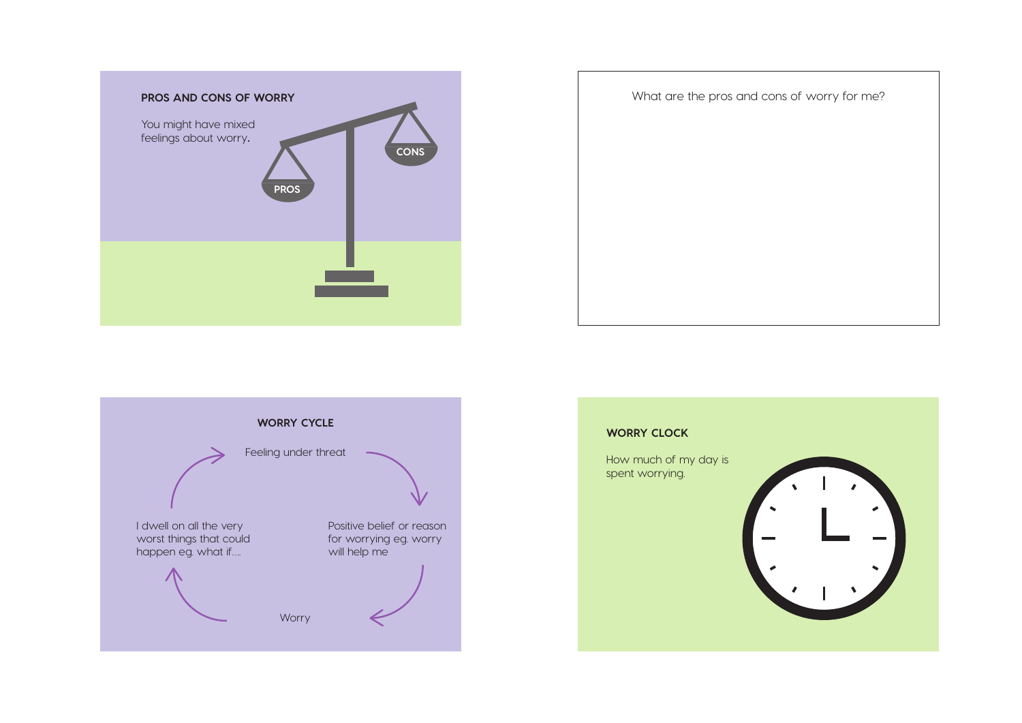





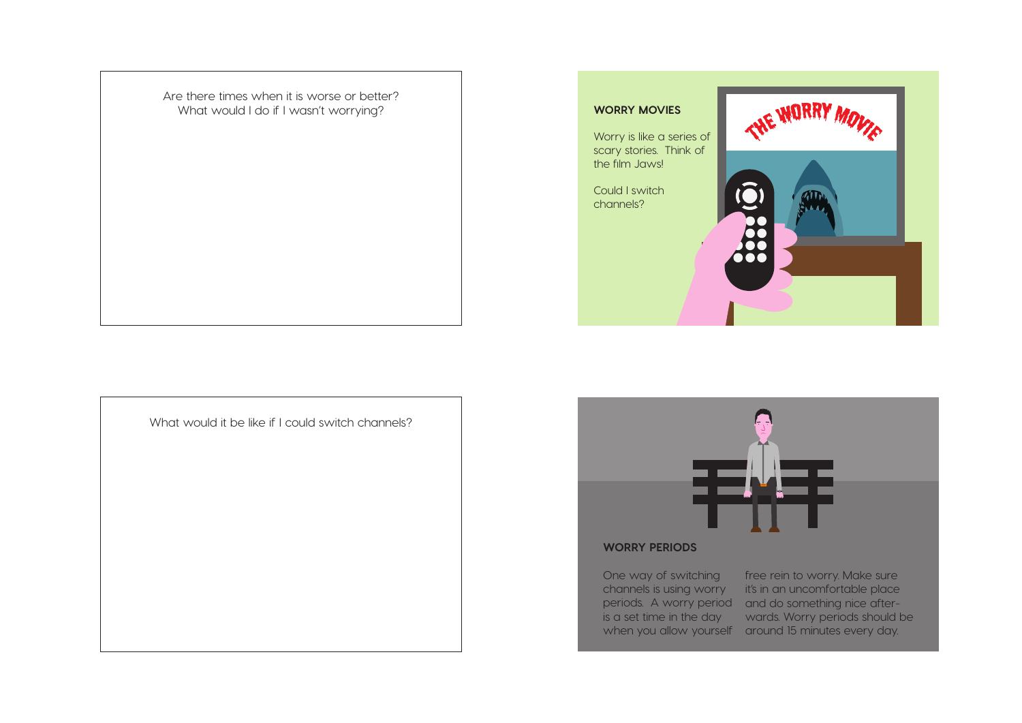Are there times when it is worse or better? What would I do if I wasn't worrying?







# **WORRY PERIODS**

One way of switching is a set time in the day

channels is using worry it's in an uncomfortable place periods. A worry period and do something nice afterwhen you allow yourself around 15 minutes every day. free rein to worry. Make sure wards. Worry periods should be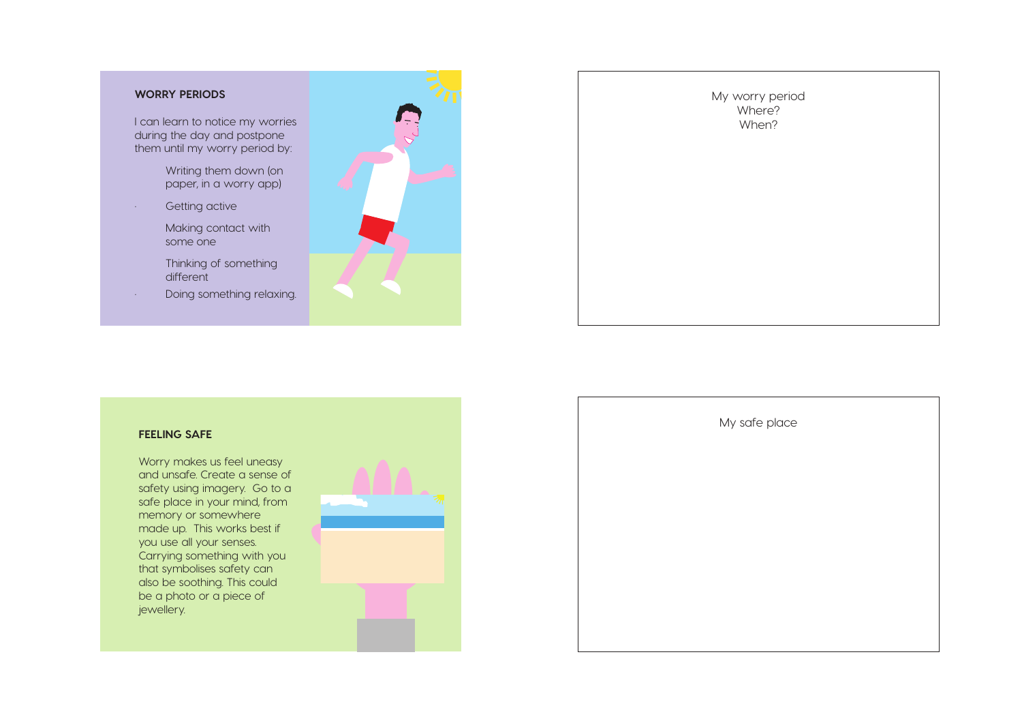## **WORRY PERIODS**

I can learn to notice my worries during the day and postpone them until my worry period by:

- Writing them down (on paper, in a worry app)
- Getting active
	- Making contact with some one
	- Thinking of something different
- Doing something relaxing.





## **FEELING SAFE**

Worry makes us feel uneasy and unsafe. Create a sense of safety using imagery. Go to a safe place in your mind, from memory or somewhere made up. This works best if you use all your senses. Carrying something with you that symbolises safety can also be soothing. This could be a photo or a piece of jewellery.